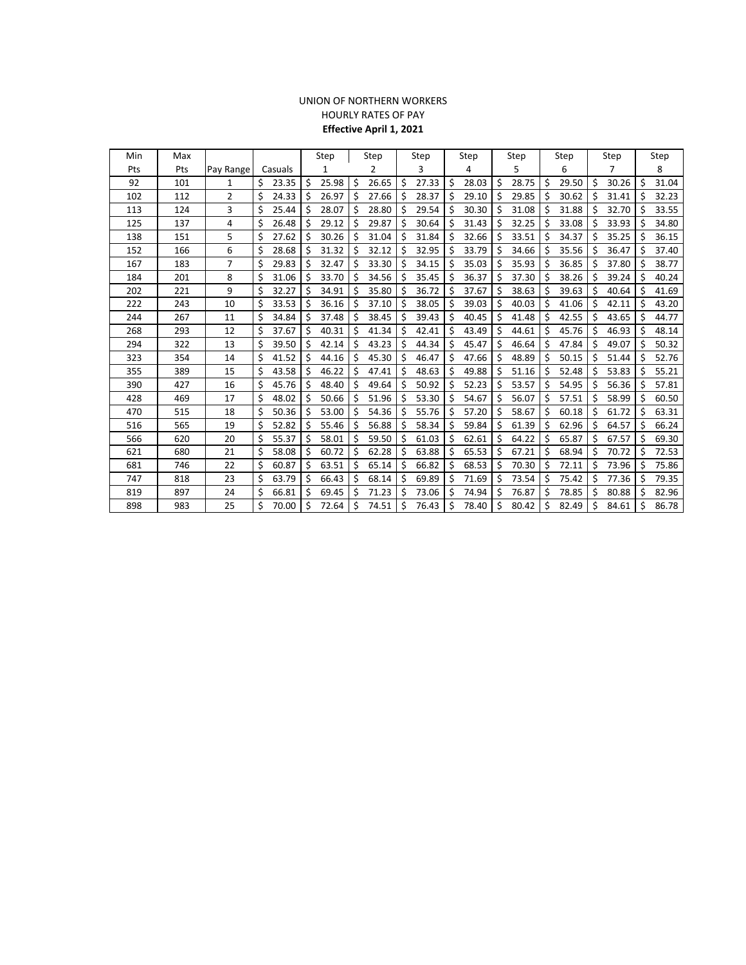## UNION OF NORTHERN WORKERS HOURLY RATES OF PAY **Effective April 1, 2021**

| Min | Max |                |             | Step<br>Step |       | Step |       | Step |       | Step |       | Step |       | Step |       | Step |       |    |       |
|-----|-----|----------------|-------------|--------------|-------|------|-------|------|-------|------|-------|------|-------|------|-------|------|-------|----|-------|
| Pts | Pts | Pay Range      | Casuals     |              | 1     |      | 2     |      | 3     |      | 4     |      | 5     |      | 6     |      | 7     |    | 8     |
| 92  | 101 | 1              | Ś.<br>23.35 | \$           | 25.98 | \$   | 26.65 | \$   | 27.33 | \$   | 28.03 | \$   | 28.75 | \$   | 29.50 | \$   | 30.26 | \$ | 31.04 |
| 102 | 112 | $\overline{2}$ | 24.33<br>Ś  | Ś            | 26.97 | Ś.   | 27.66 | Ś.   | 28.37 | \$   | 29.10 | Ś    | 29.85 | Ś    | 30.62 | Ś.   | 31.41 | Ś  | 32.23 |
| 113 | 124 | 3              | Ś<br>25.44  | Ś            | 28.07 | Ś.   | 28.80 | Ŝ.   | 29.54 | \$   | 30.30 | Ś.   | 31.08 | Ś    | 31.88 | Ś    | 32.70 | Ŝ  | 33.55 |
| 125 | 137 | 4              | Ś<br>26.48  | Ś            | 29.12 | Ś    | 29.87 | Ś    | 30.64 | Ś    | 31.43 | Ś    | 32.25 | Ś    | 33.08 | S    | 33.93 | Ŝ  | 34.80 |
| 138 | 151 | 5              | \$<br>27.62 | Ś            | 30.26 | Ś    | 31.04 | Ś    | 31.84 | \$   | 32.66 | Ś    | 33.51 | Ś    | 34.37 | Ś    | 35.25 | Ŝ  | 36.15 |
| 152 | 166 | 6              | Ś<br>28.68  | \$           | 31.32 | \$   | 32.12 | \$   | 32.95 | \$   | 33.79 | \$   | 34.66 | \$   | 35.56 | \$   | 36.47 | \$ | 37.40 |
| 167 | 183 | $\overline{7}$ | \$<br>29.83 | Ś            | 32.47 | \$   | 33.30 | \$   | 34.15 | -\$  | 35.03 | Ś    | 35.93 | \$   | 36.85 | \$   | 37.80 | \$ | 38.77 |
| 184 | 201 | 8              | Ś<br>31.06  | Ś            | 33.70 | Ś    | 34.56 | \$   | 35.45 | \$   | 36.37 | Ś    | 37.30 | Ś    | 38.26 | Ś    | 39.24 | Ŝ  | 40.24 |
| 202 | 221 | 9              | \$<br>32.27 | Ś            | 34.91 | Ś    | 35.80 | \$   | 36.72 | \$   | 37.67 | Ś    | 38.63 | Ś.   | 39.63 | Ś    | 40.64 | \$ | 41.69 |
| 222 | 243 | 10             | Ś<br>33.53  | Ś            | 36.16 | Ś.   | 37.10 | Ś    | 38.05 | \$   | 39.03 | Ś    | 40.03 | Ś    | 41.06 | Ŝ.   | 42.11 | \$ | 43.20 |
| 244 | 267 | 11             | 34.84       | Ś            | 37.48 | \$   | 38.45 | Ś    | 39.43 | \$   | 40.45 | Ś    | 41.48 | Ś    | 42.55 | \$   | 43.65 | Ś  | 44.77 |
| 268 | 293 | 12             | 37.67       | Ś            | 40.31 | Ś    | 41.34 | \$   | 42.41 | \$   | 43.49 | Ś    | 44.61 | Ś    | 45.76 | Ś    | 46.93 | \$ | 48.14 |
| 294 | 322 | 13             | Ś<br>39.50  | S            | 42.14 | S    | 43.23 | Ś    | 44.34 | \$   | 45.47 | Ś    | 46.64 | Ś    | 47.84 | S    | 49.07 | Ś  | 50.32 |
| 323 | 354 | 14             | Ś<br>41.52  | Ś            | 44.16 | \$   | 45.30 | \$   | 46.47 | \$   | 47.66 | \$   | 48.89 | Ś    | 50.15 | \$   | 51.44 | \$ | 52.76 |
| 355 | 389 | 15             | Ś<br>43.58  | Ś            | 46.22 | Ś.   | 47.41 | Ś    | 48.63 | \$   | 49.88 | Ś    | 51.16 | Ś    | 52.48 | Ś.   | 53.83 | Ś  | 55.21 |
| 390 | 427 | 16             | 45.76       | \$           | 48.40 | \$   | 49.64 | \$   | 50.92 | \$   | 52.23 | \$   | 53.57 | \$   | 54.95 | \$   | 56.36 | \$ | 57.81 |
| 428 | 469 | 17             | Ś<br>48.02  | Ś            | 50.66 | Ś    | 51.96 | \$   | 53.30 | \$   | 54.67 | Ś    | 56.07 | Ś    | 57.51 | Ś    | 58.99 | Ŝ  | 60.50 |
| 470 | 515 | 18             | \$<br>50.36 | Ś            | 53.00 | \$   | 54.36 | \$   | 55.76 | \$   | 57.20 | Ś    | 58.67 | \$   | 60.18 | Ś    | 61.72 | \$ | 63.31 |
| 516 | 565 | 19             | Ś<br>52.82  | \$           | 55.46 | \$   | 56.88 | \$   | 58.34 | \$   | 59.84 | \$   | 61.39 | \$   | 62.96 | \$   | 64.57 | \$ | 66.24 |
| 566 | 620 | 20             | 55.37       | Ś            | 58.01 | Ś    | 59.50 | \$   | 61.03 | \$   | 62.61 | Ś    | 64.22 | Ś    | 65.87 | \$   | 67.57 | Ŝ  | 69.30 |
| 621 | 680 | 21             | 58.08       | Ś            | 60.72 | Ś.   | 62.28 | Ś    | 63.88 | \$   | 65.53 | Ś    | 67.21 | Ś    | 68.94 | S    | 70.72 | Ŝ  | 72.53 |
| 681 | 746 | 22             | Ś<br>60.87  | Ś            | 63.51 | S    | 65.14 | Ś    | 66.82 | \$   | 68.53 | \$   | 70.30 | Ś    | 72.11 | S    | 73.96 | S  | 75.86 |
| 747 | 818 | 23             | 63.79       | Ś            | 66.43 | Ś.   | 68.14 | Ś.   | 69.89 | \$   | 71.69 | Ś    | 73.54 | Ś    | 75.42 | Ś    | 77.36 | \$ | 79.35 |
| 819 | 897 | 24             | Ś<br>66.81  | Ś            | 69.45 | Ś.   | 71.23 | Ś.   | 73.06 | \$   | 74.94 | Ś    | 76.87 | Ś    | 78.85 | \$   | 80.88 | \$ | 82.96 |
| 898 | 983 | 25             | Ś<br>70.00  | Ś            | 72.64 | Ś    | 74.51 | Ś    | 76.43 | \$   | 78.40 | Ś    | 80.42 | Ś    | 82.49 | Ś    | 84.61 | Ś  | 86.78 |